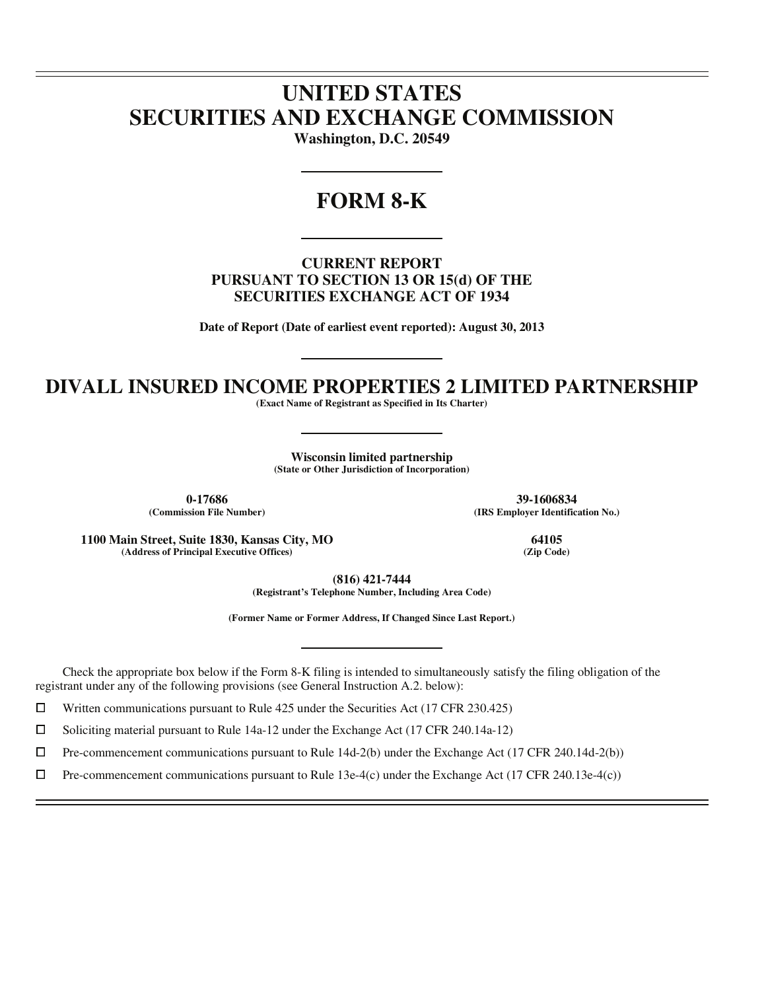# **UNITED STATES SECURITIES AND EXCHANGE COMMISSION**

**Washington, D.C. 20549** 

## **FORM 8-K**

**CURRENT REPORT PURSUANT TO SECTION 13 OR 15(d) OF THE SECURITIES EXCHANGE ACT OF 1934** 

**Date of Report (Date of earliest event reported): August 30, 2013** 

### **DIVALL INSURED INCOME PROPERTIES 2 LIMITED PARTNERSHIP**

**(Exact Name of Registrant as Specified in Its Charter)** 

**Wisconsin limited partnership (State or Other Jurisdiction of Incorporation)** 

**0-17686 39-1606834**

 $\overline{a}$  $\overline{a}$ 

 $\overline{a}$ 

**(IRS Employer Identification No.)** 

**1100 Main Street, Suite 1830, Kansas City, MO 64105 (Address of Principal Executive Offices)** 

**(816) 421-7444** 

**(Registrant's Telephone Number, Including Area Code)** 

**(Former Name or Former Address, If Changed Since Last Report.)** 

Check the appropriate box below if the Form 8-K filing is intended to simultaneously satisfy the filing obligation of the registrant under any of the following provisions (see General Instruction A.2. below):

 $□$  Written communications pursuant to Rule 425 under the Securities Act (17 CFR 230.425)<br>
□ Soliciting material pursuant to Rule 14a-12 under the Exchange Act (17 CFR 240.14a-12)

Soliciting material pursuant to Rule 14a-12 under the Exchange Act (17 CFR 240.14a-12)

 $\Box$  $\Box$  Pre-commencement communications pursuant to Rule 14d-2(b) under the Exchange Act (17 CFR 240.14d-2(b))<br> $\Box$  Pre-commencement communications pursuant to Rule 13e-4(c) under the Exchange Act (17 CFR 240.13e-4(c))

Pre-commencement communications pursuant to Rule 13e-4(c) under the Exchange Act (17 CFR 240.13e-4(c))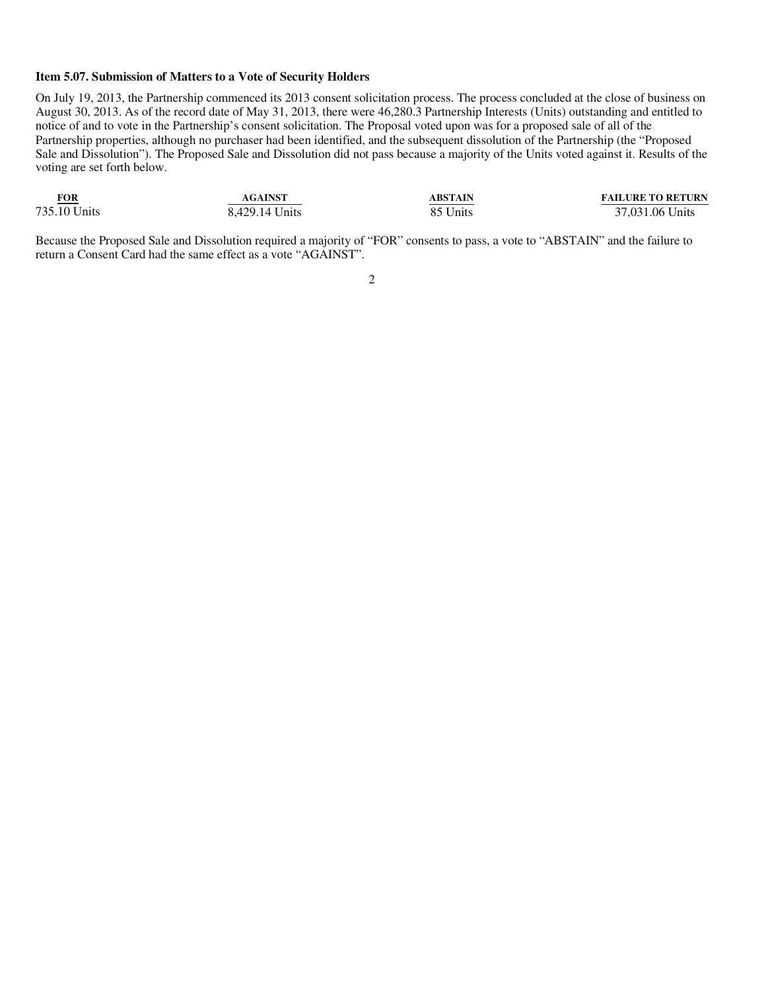#### **Item 5.07. Submission of Matters to a Vote of Security Holders**

On July 19, 2013, the Partnership commenced its 2013 consent solicitation process. The process concluded at the close of business on August 30, 2013. As of the record date of May 31, 2013, there were 46,280.3 Partnership Interests (Units) outstanding and entitled to notice of and to vote in the Partnership's consent solicitation. The Proposal voted upon was for a proposed sale of all of the Partnership properties, although no purchaser had been identified, and the subsequent dissolution of the Partnership (the "Proposed Sale and Dissolution"). The Proposed Sale and Dissolution did not pass because a majority of the Units voted against it. Results of the voting are set forth below.

| FOR<br><b>Contract Contract Contract Contract</b> | <b>AGAINST</b> | <b>ABSTAIN</b> | <b>FAILURE TO RETURN</b> |
|---------------------------------------------------|----------------|----------------|--------------------------|
| 735.10 Units                                      | 8.429.14 Units | 85 Units       | 37,031.06 Units          |

Because the Proposed Sale and Dissolution required a majority of "FOR" consents to pass, a vote to "ABSTAIN" and the failure to return a Consent Card had the same effect as a vote "AGAINST".

#### 2